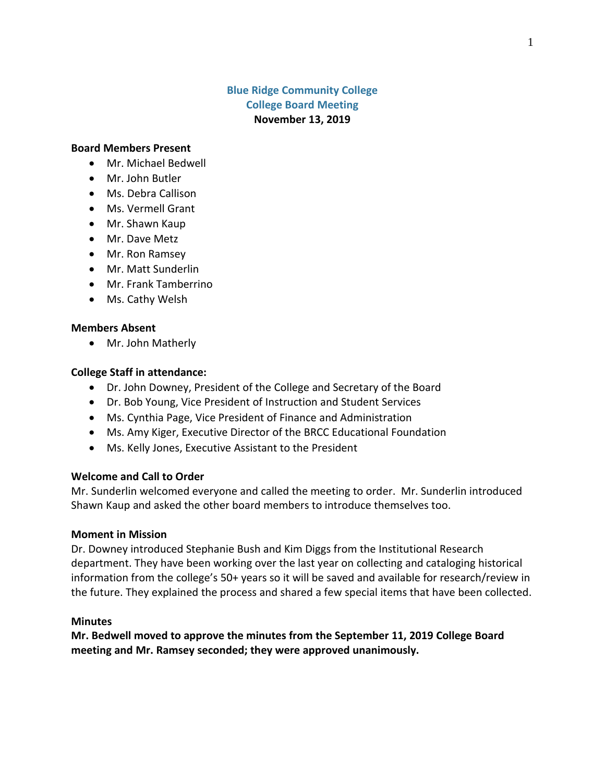# **Blue Ridge Community College College Board Meeting November 13, 2019**

#### **Board Members Present**

- Mr. Michael Bedwell
- Mr. John Butler
- Ms. Debra Callison
- Ms. Vermell Grant
- Mr. Shawn Kaup
- Mr. Dave Metz
- Mr. Ron Ramsey
- Mr. Matt Sunderlin
- Mr. Frank Tamberrino
- Ms. Cathy Welsh

### **Members Absent**

• Mr. John Matherly

## **College Staff in attendance:**

- Dr. John Downey, President of the College and Secretary of the Board
- Dr. Bob Young, Vice President of Instruction and Student Services
- Ms. Cynthia Page, Vice President of Finance and Administration
- Ms. Amy Kiger, Executive Director of the BRCC Educational Foundation
- Ms. Kelly Jones, Executive Assistant to the President

### **Welcome and Call to Order**

Mr. Sunderlin welcomed everyone and called the meeting to order. Mr. Sunderlin introduced Shawn Kaup and asked the other board members to introduce themselves too.

### **Moment in Mission**

Dr. Downey introduced Stephanie Bush and Kim Diggs from the Institutional Research department. They have been working over the last year on collecting and cataloging historical information from the college's 50+ years so it will be saved and available for research/review in the future. They explained the process and shared a few special items that have been collected.

### **Minutes**

**Mr. Bedwell moved to approve the minutes from the September 11, 2019 College Board meeting and Mr. Ramsey seconded; they were approved unanimously.**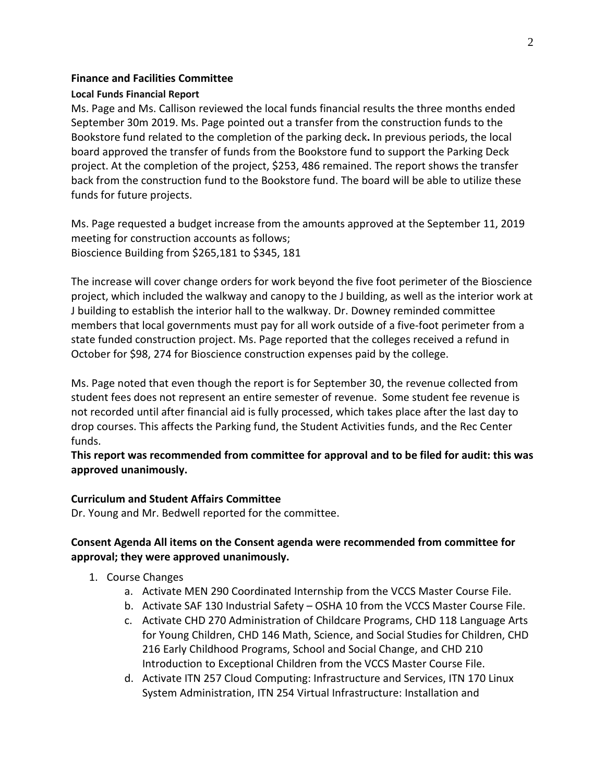# **Finance and Facilities Committee**

## **Local Funds Financial Report**

Ms. Page and Ms. Callison reviewed the local funds financial results the three months ended September 30m 2019. Ms. Page pointed out a transfer from the construction funds to the Bookstore fund related to the completion of the parking deck**.** In previous periods, the local board approved the transfer of funds from the Bookstore fund to support the Parking Deck project. At the completion of the project, \$253, 486 remained. The report shows the transfer back from the construction fund to the Bookstore fund. The board will be able to utilize these funds for future projects.

Ms. Page requested a budget increase from the amounts approved at the September 11, 2019 meeting for construction accounts as follows; Bioscience Building from \$265,181 to \$345, 181

The increase will cover change orders for work beyond the five foot perimeter of the Bioscience project, which included the walkway and canopy to the J building, as well as the interior work at J building to establish the interior hall to the walkway. Dr. Downey reminded committee members that local governments must pay for all work outside of a five-foot perimeter from a state funded construction project. Ms. Page reported that the colleges received a refund in October for \$98, 274 for Bioscience construction expenses paid by the college.

Ms. Page noted that even though the report is for September 30, the revenue collected from student fees does not represent an entire semester of revenue. Some student fee revenue is not recorded until after financial aid is fully processed, which takes place after the last day to drop courses. This affects the Parking fund, the Student Activities funds, and the Rec Center funds.

**This report was recommended from committee for approval and to be filed for audit: this was approved unanimously.**

# **Curriculum and Student Affairs Committee**

Dr. Young and Mr. Bedwell reported for the committee.

# **Consent Agenda All items on the Consent agenda were recommended from committee for approval; they were approved unanimously.**

- 1. Course Changes
	- a. Activate MEN 290 Coordinated Internship from the VCCS Master Course File.
	- b. Activate SAF 130 Industrial Safety OSHA 10 from the VCCS Master Course File.
	- c. Activate CHD 270 Administration of Childcare Programs, CHD 118 Language Arts for Young Children, CHD 146 Math, Science, and Social Studies for Children, CHD 216 Early Childhood Programs, School and Social Change, and CHD 210 Introduction to Exceptional Children from the VCCS Master Course File.
	- d. Activate ITN 257 Cloud Computing: Infrastructure and Services, ITN 170 Linux System Administration, ITN 254 Virtual Infrastructure: Installation and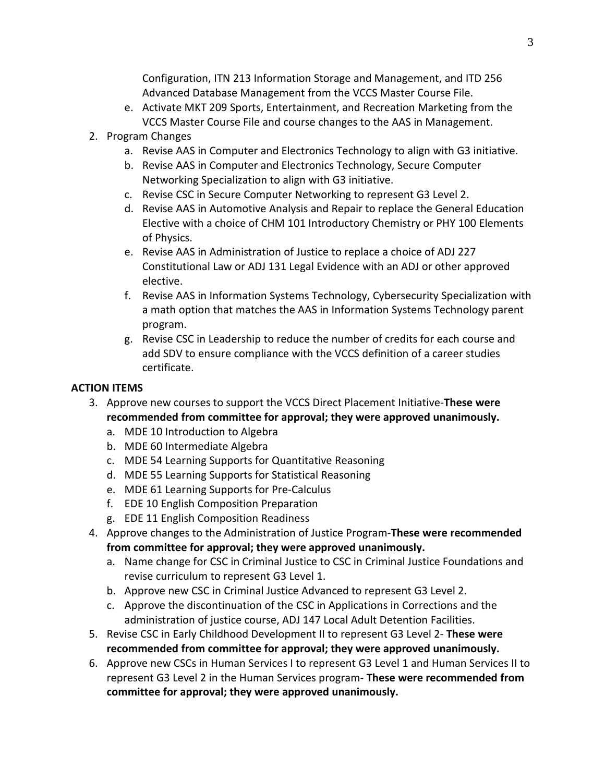Configuration, ITN 213 Information Storage and Management, and ITD 256 Advanced Database Management from the VCCS Master Course File.

- e. Activate MKT 209 Sports, Entertainment, and Recreation Marketing from the VCCS Master Course File and course changes to the AAS in Management.
- 2. Program Changes
	- a. Revise AAS in Computer and Electronics Technology to align with G3 initiative.
	- b. Revise AAS in Computer and Electronics Technology, Secure Computer Networking Specialization to align with G3 initiative.
	- c. Revise CSC in Secure Computer Networking to represent G3 Level 2.
	- d. Revise AAS in Automotive Analysis and Repair to replace the General Education Elective with a choice of CHM 101 Introductory Chemistry or PHY 100 Elements of Physics.
	- e. Revise AAS in Administration of Justice to replace a choice of ADJ 227 Constitutional Law or ADJ 131 Legal Evidence with an ADJ or other approved elective.
	- f. Revise AAS in Information Systems Technology, Cybersecurity Specialization with a math option that matches the AAS in Information Systems Technology parent program.
	- g. Revise CSC in Leadership to reduce the number of credits for each course and add SDV to ensure compliance with the VCCS definition of a career studies certificate.

# **ACTION ITEMS**

- 3. Approve new courses to support the VCCS Direct Placement Initiative-**These were recommended from committee for approval; they were approved unanimously.**
	- a. MDE 10 Introduction to Algebra
	- b. MDE 60 Intermediate Algebra
	- c. MDE 54 Learning Supports for Quantitative Reasoning
	- d. MDE 55 Learning Supports for Statistical Reasoning
	- e. MDE 61 Learning Supports for Pre-Calculus
	- f. EDE 10 English Composition Preparation
	- g. EDE 11 English Composition Readiness
- 4. Approve changes to the Administration of Justice Program-**These were recommended from committee for approval; they were approved unanimously.**
	- a. Name change for CSC in Criminal Justice to CSC in Criminal Justice Foundations and revise curriculum to represent G3 Level 1.
	- b. Approve new CSC in Criminal Justice Advanced to represent G3 Level 2.
	- c. Approve the discontinuation of the CSC in Applications in Corrections and the administration of justice course, ADJ 147 Local Adult Detention Facilities.
- 5. Revise CSC in Early Childhood Development II to represent G3 Level 2- **These were recommended from committee for approval; they were approved unanimously.**
- 6. Approve new CSCs in Human Services I to represent G3 Level 1 and Human Services II to represent G3 Level 2 in the Human Services program- **These were recommended from committee for approval; they were approved unanimously.**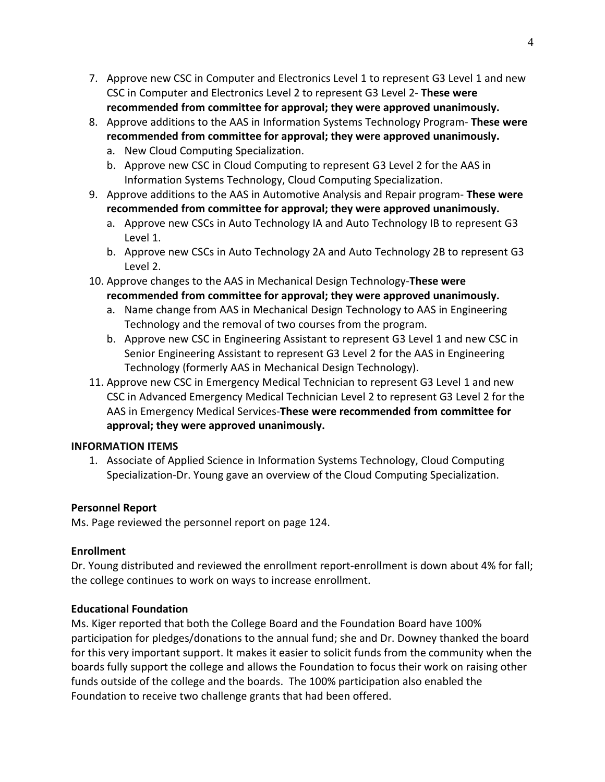- 7. Approve new CSC in Computer and Electronics Level 1 to represent G3 Level 1 and new CSC in Computer and Electronics Level 2 to represent G3 Level 2- **These were recommended from committee for approval; they were approved unanimously.**
- 8. Approve additions to the AAS in Information Systems Technology Program- **These were recommended from committee for approval; they were approved unanimously.**
	- a. New Cloud Computing Specialization.
	- b. Approve new CSC in Cloud Computing to represent G3 Level 2 for the AAS in Information Systems Technology, Cloud Computing Specialization.
- 9. Approve additions to the AAS in Automotive Analysis and Repair program- **These were recommended from committee for approval; they were approved unanimously.**
	- a. Approve new CSCs in Auto Technology IA and Auto Technology IB to represent G3 Level 1.
	- b. Approve new CSCs in Auto Technology 2A and Auto Technology 2B to represent G3 Level 2.
- 10. Approve changes to the AAS in Mechanical Design Technology-**These were recommended from committee for approval; they were approved unanimously.**
	- a. Name change from AAS in Mechanical Design Technology to AAS in Engineering Technology and the removal of two courses from the program.
	- b. Approve new CSC in Engineering Assistant to represent G3 Level 1 and new CSC in Senior Engineering Assistant to represent G3 Level 2 for the AAS in Engineering Technology (formerly AAS in Mechanical Design Technology).
- 11. Approve new CSC in Emergency Medical Technician to represent G3 Level 1 and new CSC in Advanced Emergency Medical Technician Level 2 to represent G3 Level 2 for the AAS in Emergency Medical Services-**These were recommended from committee for approval; they were approved unanimously.**

# **INFORMATION ITEMS**

1. Associate of Applied Science in Information Systems Technology, Cloud Computing Specialization-Dr. Young gave an overview of the Cloud Computing Specialization.

# **Personnel Report**

Ms. Page reviewed the personnel report on page 124.

# **Enrollment**

Dr. Young distributed and reviewed the enrollment report-enrollment is down about 4% for fall; the college continues to work on ways to increase enrollment.

# **Educational Foundation**

Ms. Kiger reported that both the College Board and the Foundation Board have 100% participation for pledges/donations to the annual fund; she and Dr. Downey thanked the board for this very important support. It makes it easier to solicit funds from the community when the boards fully support the college and allows the Foundation to focus their work on raising other funds outside of the college and the boards. The 100% participation also enabled the Foundation to receive two challenge grants that had been offered.